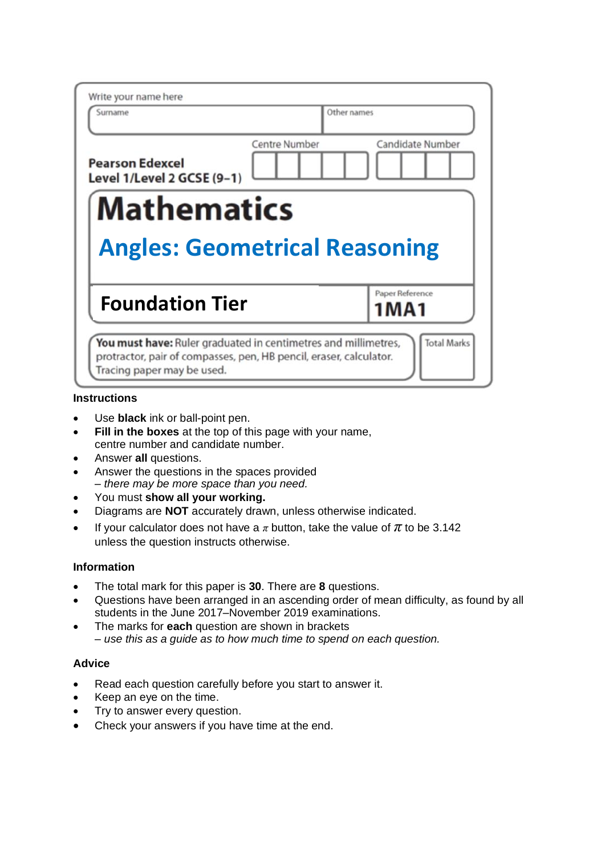| Write your name here                                 |                                      |
|------------------------------------------------------|--------------------------------------|
| Surname                                              | Other names                          |
| <b>Pearson Edexcel</b><br>Level 1/Level 2 GCSE (9-1) | Candidate Number<br>Centre Number    |
| <b>Mathematics</b>                                   |                                      |
|                                                      |                                      |
|                                                      | <b>Angles: Geometrical Reasoning</b> |
| <b>Foundation Tier</b>                               | Paper Reference<br>1 M A 1           |

### **Instructions**

- Use **black** ink or ball-point pen.
- **Fill in the boxes** at the top of this page with your name, centre number and candidate number.
- Answer **all** questions.
- Answer the questions in the spaces provided *– there may be more space than you need.*
- You must **show all your working.**
- Diagrams are **NOT** accurately drawn, unless otherwise indicated.
- If your calculator does not have a  $\pi$  button, take the value of  $\pi$  to be 3.142 unless the question instructs otherwise.

## **Information**

- The total mark for this paper is **30**. There are **8** questions.
- Questions have been arranged in an ascending order of mean difficulty, as found by all students in the June 2017–November 2019 examinations.
- The marks for **each** question are shown in brackets *– use this as a guide as to how much time to spend on each question.*

## **Advice**

- Read each question carefully before you start to answer it.
- Keep an eye on the time.
- Try to answer every question.
- Check your answers if you have time at the end.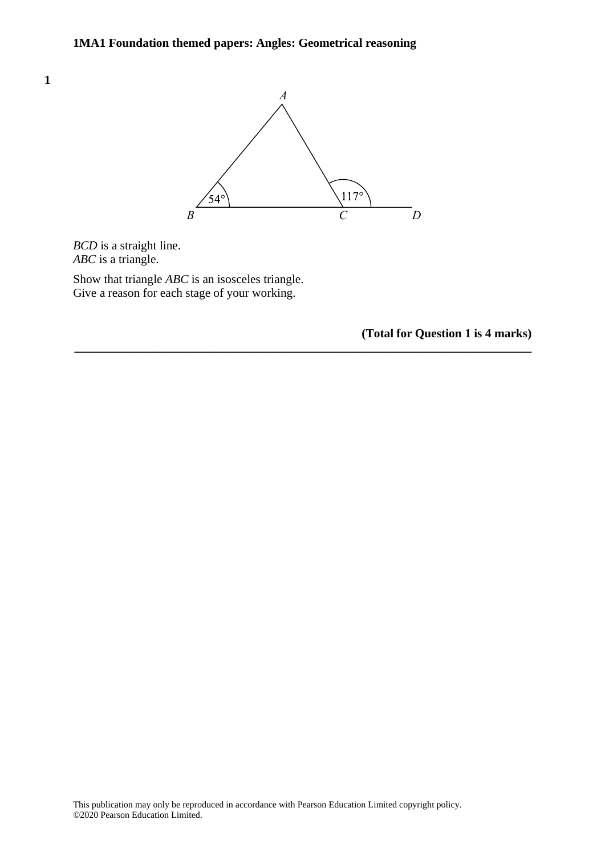

**\_\_\_\_\_\_\_\_\_\_\_\_\_\_\_\_\_\_\_\_\_\_\_\_\_\_\_\_\_\_\_\_\_\_\_\_\_\_\_\_\_\_\_\_\_\_\_\_\_\_\_\_\_\_\_\_\_\_\_\_\_\_\_\_\_\_\_\_\_\_\_\_\_\_\_**

*BCD* is a straight line. *BCD ABC* is a triangle. *ABC*

Show that triangle *ABC* is an isosceles triangle. Give a reason for each stage of your working.

**(Total for Question 1 is 4 marks)**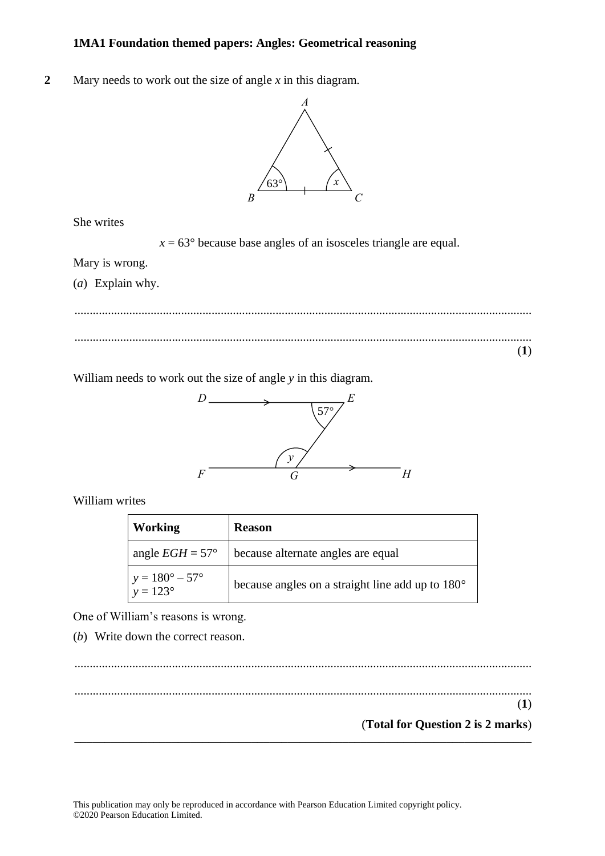**2** Mary needs to work out the size of angle *x* in this diagram. **15** Mary needs to work out the size of angle *<sup>x</sup>* in this diagram.



She writes She writes  $\mathbf{S}$ 

*x* = 63° because base angles of an isosceles triangle are equal. *<sup>x</sup>* <sup>=</sup> 63° because base angles of an isosceles triangle are equal.

Mary is wrong. Mary is wrong. Mary is wrong.

(*a*) Explain why. (a) Explain why.  $(a)$  Explain why

...................................................................................................................................................... ..................................................................................................................................................................................................................................................  $\begin{array}{ccccccccccccccccc} \hline \multicolumn{3}{c}{} & \multicolumn{3}{c}{} & \multicolumn{3}{c}{} & \multicolumn{3}{c}{} & \multicolumn{3}{c}{} & \multicolumn{3}{c}{} & \multicolumn{3}{c}{} & \multicolumn{3}{c}{} & \multicolumn{3}{c}{} & \multicolumn{3}{c}{} & \multicolumn{3}{c}{} & \multicolumn{3}{c}{} & \multicolumn{3}{c}{} & \multicolumn{3}{c}{} & \multicolumn{3}{c}{} & \multicolumn{3}{c}{} & \multicolumn{3}{c}{} & \multicolumn{3}{c}{} & \multicolumn{3}{c$ (**1**) **(1) DO NOTWRITEIN THISAREA DO NOTWRITEIN THISAREA DO NOTWRITEIN THISAREA**

William needs to work out the size of angle *y* in this diagram. William needs to work out the size of angle *y* in this diagram. William needs to work out the size of angle *y* in this diagram.



William writes William writes William writes

| <b>Working</b>                                      | <b>Reason</b>                                    |
|-----------------------------------------------------|--------------------------------------------------|
| angle $EGH = 57^{\circ}$                            | because alternate angles are equal               |
| $y = 180^{\circ} - 57^{\circ}$<br>$y = 123^{\circ}$ | because angles on a straight line add up to 180° |

One of William's reasons is wrong.

(*b*) Write down the correct reason.

...................................................................................................................................................... (b) Write down the correct reason.

**\_\_\_\_\_\_\_\_\_\_\_\_\_\_\_\_\_\_\_\_\_\_\_\_\_\_\_\_\_\_\_\_\_\_\_\_\_\_\_\_\_\_\_\_\_\_\_\_\_\_\_\_\_\_\_\_\_\_\_\_\_\_\_\_\_\_\_\_\_\_\_\_\_\_\_**

...................................................................................................................................................... .................................................................................................................................................................................................................................................. (**1**)

(**Total for Question 2 is 2 marks**) **(1) (1)**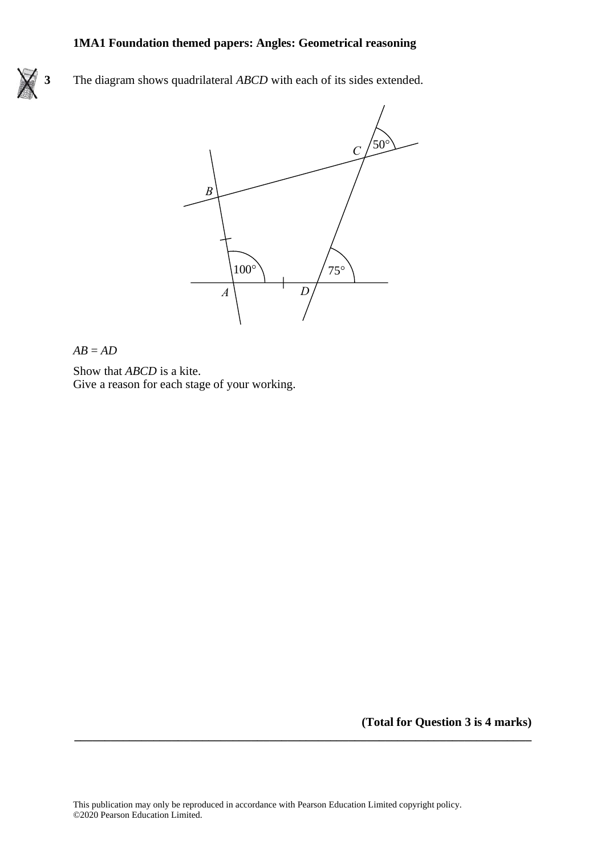**3** The diagram shows quadrilateral *ABCD* with each of its sides extended.



#### *AB* = *AD AB* <sup>=</sup> *AD*

Show that *ABCD* is a kite. Show that *ABCD* is <sup>a</sup> kite. Give a reason for each stage of your working. Give <sup>a</sup> reason for each stage of your working.

**(Total for Question 3 is 4 marks)**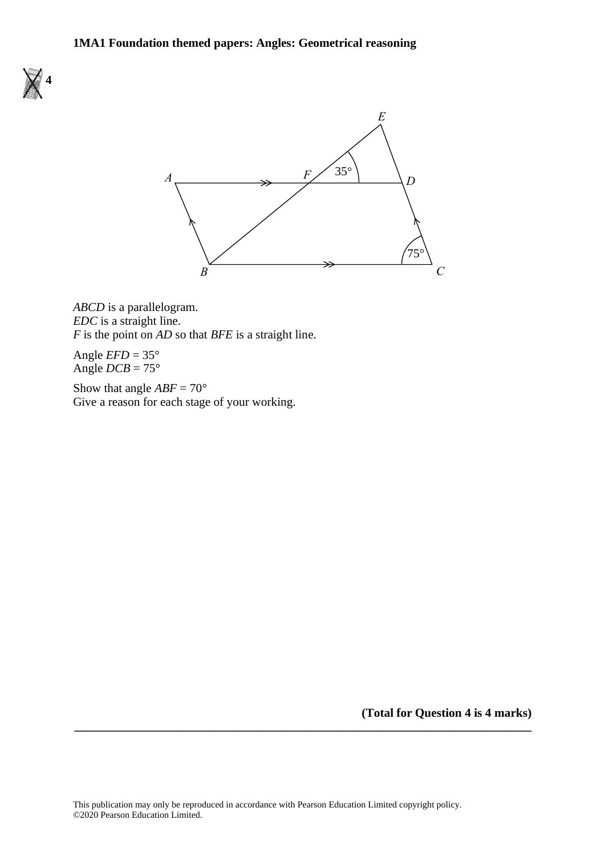



*ABCD* is a parallelogram. *ABCD* is <sup>a</sup> parallelogram. *EDC* is a straight line. *EDC* is <sup>a</sup> straight line. *F* is the point on *AD* so that *BFE* is a straight line.

Angle  $EFD = 35^{\circ}$ Angle  $DCB = 75^{\circ}$ 

Show that angle  $ABF = 70^{\circ}$ Give a reason for each stage of your working. Show that angle *ABF* <sup>=</sup> 70 Give <sup>a</sup> reason for each stage of your working.

**(Total for Question 4 is 4 marks) \_\_\_\_\_\_\_\_\_\_\_\_\_\_\_\_\_\_\_\_\_\_\_\_\_\_\_\_\_\_\_\_\_\_\_\_\_\_\_\_\_\_\_\_\_\_\_\_\_\_\_\_\_\_\_\_\_\_\_\_\_\_\_\_\_\_\_\_\_\_\_\_\_\_\_**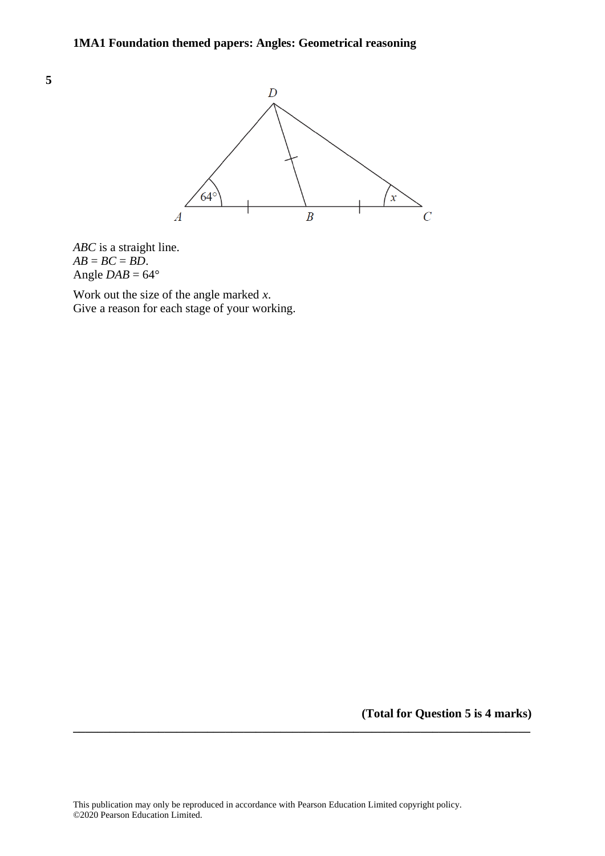



*ABC* is a straight line.  $AB = BC = BD$ . Angle  $DAB = 64^\circ$ 

Work out the size of the angle marked *x*. Give a reason for each stage of your working.

**(Total for Question 5 is 4 marks)**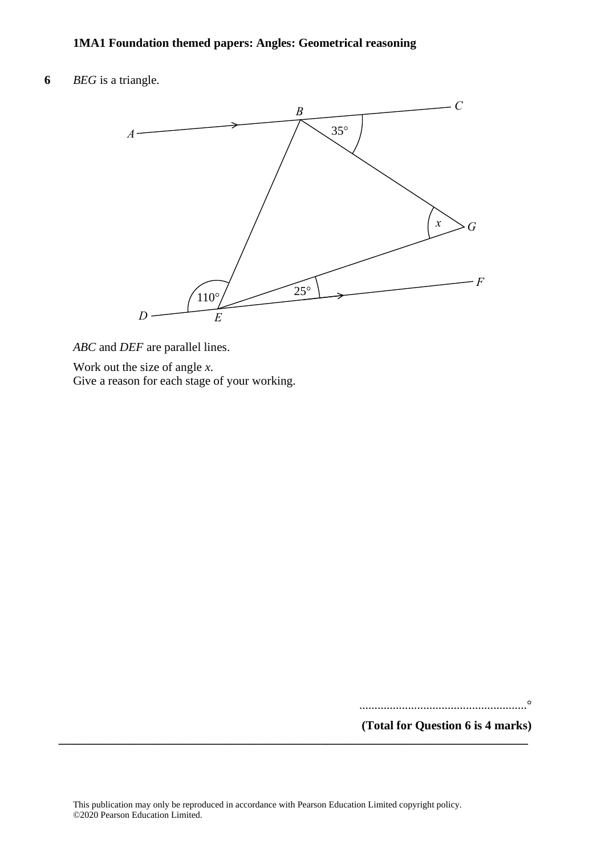**6** *BEG* is a triangle. **22** *BEG* is <sup>a</sup> triangle.



*ABC* and *DEF* are parallel lines. *ABC* and *DEF* are parallel lines.

Work out the size of angle *x*. Work out the size of angle *<sup>x</sup>*.

Give a reason for each stage of your working. Give <sup>a</sup> reason for each stage of your working.

.......................................................°

**(Total for Question 6 is 4 marks)**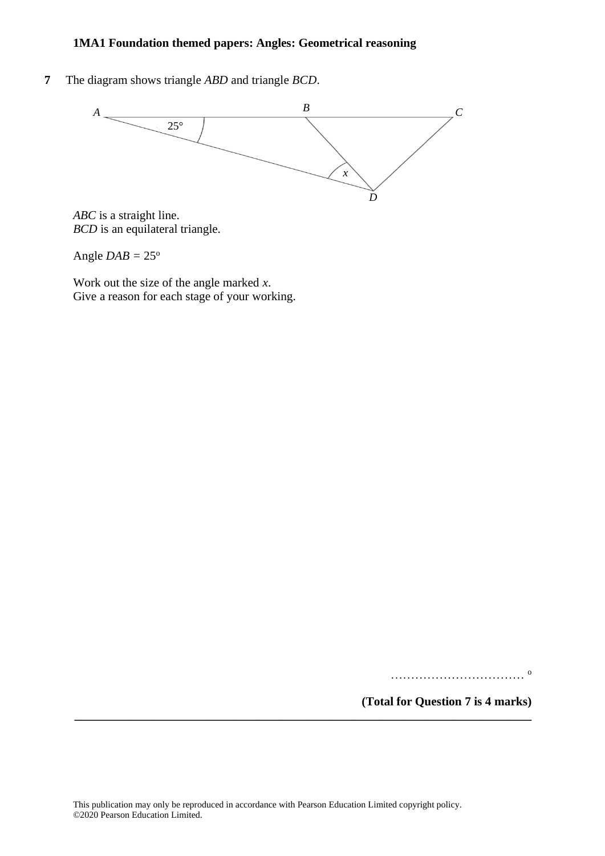**7** The diagram shows triangle *ABD* and triangle *BCD*.



*ABC* is a straight line. *BCD* is an equilateral triangle.

Angle  $DAB = 25^\circ$ 

Work out the size of the angle marked *x*. Give a reason for each stage of your working.

…………………………… o

**(Total for Question 7 is 4 marks)**